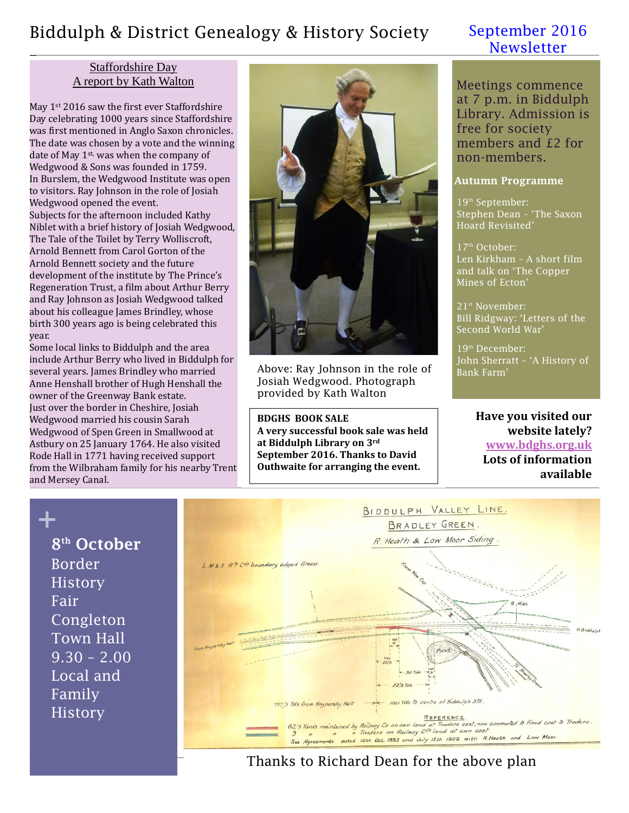## Biddulph & District Genealogy & History Society September 2016

#### Staffordshire Day A report by Kath Walton

May 1<sup>st</sup> 2016 saw the first ever Staffordshire Day celebrating 1000 years since Staffordshire was first mentioned in Anglo Saxon chronicles. The date was chosen by a vote and the winning date of May 1<sup>st,</sup> was when the company of Wedgwood & Sons was founded in 1759. In Burslem, the Wedgwood Institute was open to visitors. Ray Johnson in the role of Josiah Wedgwood opened the event. Subjects for the afternoon included Kathy Niblet with a brief history of Josiah Wedgwood, The Tale of the Toilet by Terry Wolliscroft, Arnold Bennett from Carol Gorton of the Arnold Bennett society and the future development of the institute by The Prince's Regeneration Trust, a film about Arthur Berry and Ray Johnson as Josiah Wedgwood talked about his colleague James Brindley, whose birth 300 years ago is being celebrated this year.

Some local links to Biddulph and the area include Arthur Berry who lived in Biddulph for several years. James Brindley who married Anne Henshall brother of Hugh Henshall the owner of the Greenway Bank estate. Just over the border in Cheshire, Josiah Wedgwood married his cousin Sarah Wedgwood of Spen Green in Smallwood at Astbury on 25 January 1764. He also visited Rode Hall in 1771 having received support from the Wilbraham family for his nearby Trent and Mersey Canal.



Above: Ray Johnson in the role of Josiah Wedgwood. Photograph provided by Kath Walton

**BDGHS BOOK SALE A very successful book sale was held at Biddulph Library on 3rd September 2016. Thanks to David Outhwaite for arranging the event.**

# **Newsletter**

Meetings commence at 7 p.m. in Biddulph Library. Admission is free for society members and £2 for non-members.

#### **Autumn Programme**

19<sup>th</sup> September: Stephen Dean – 'The Saxon Hoard Revisited'

 $17<sup>th</sup>$  October: Len Kirkham – A short film and talk on 'The Copper Mines of Ecton'

21st November: Bill Ridgway: 'Letters of the Second World War'

19<sup>th</sup> December: John Sherratt – 'A History of Bank Farm'

#### **Have you visited our website lately? [www.bdghs.org.uk](http://www.bdghs.org.uk/) Lots of information available**

**+ 8 th October** Border History Fair Congleton Town Hall  $9.30 - 2.00$ Local and Family History



Thanks to Richard Dean for the above plan